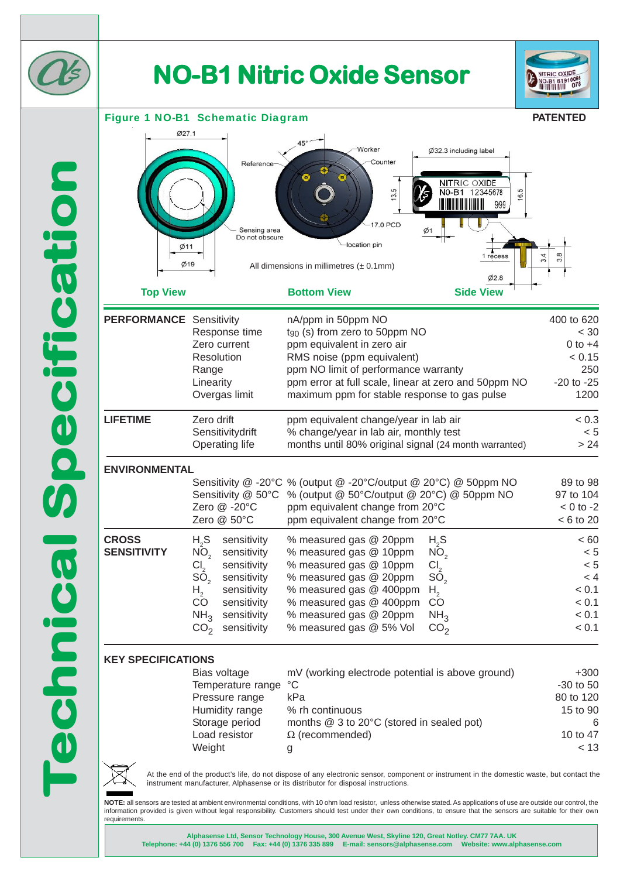

# **NO-B1 Nitric Oxide Sensor NO-B1 Nitric Sensor**

 $AB<sup>o</sup>$ 

Worker

-location pin

Counter

13.5

17.0 PCD



### Figure 1 NO-B1 Schematic Diagram

**PATENTED**

 $< 60$ 



| UNS               |                                                  |             |
|-------------------|--------------------------------------------------|-------------|
| Bias voltage      | mV (working electrode potential is above ground) | $+300$      |
| Temperature range | °C                                               | $-30$ to 50 |
| Pressure range    | kPa                                              | 80 to 120   |
| Humidity range    | % rh continuous                                  | 15 to 90    |
| Storage period    | months @ 3 to 20°C (stored in sealed pot)        | 6           |
| Load resistor     | $\Omega$ (recommended)                           | 10 to 47    |
| Weight            | g                                                | < 13        |
|                   |                                                  |             |

ppm equivalent in zero air 0 to +4

Ø32.3 including label

<u> Hermitian Hermitian (</u>

NITRIC OXIDE<br>NO-B1 12345678

6.5

999

 $1r<sub>e</sub>$ 

 $Ø2.8$ 

At the end of the product's life, do not dispose of any electronic sensor, component or instrument in the domestic waste, but contact the instrument manufacturer, Alphasense or its distributor for disposal instructions.

**NOTE:** all sensors are tested at ambient environmental conditions, with 10 ohm load resistor, unless otherwise stated. As applications of use are outside our control, the information provided is given without legal responsibility. Customers should test under their own conditions, to ensure that the sensors are suitable for their own requirements.

 $%$  measured gas  $@$  400ppm

% measured gas @ 5% Vol